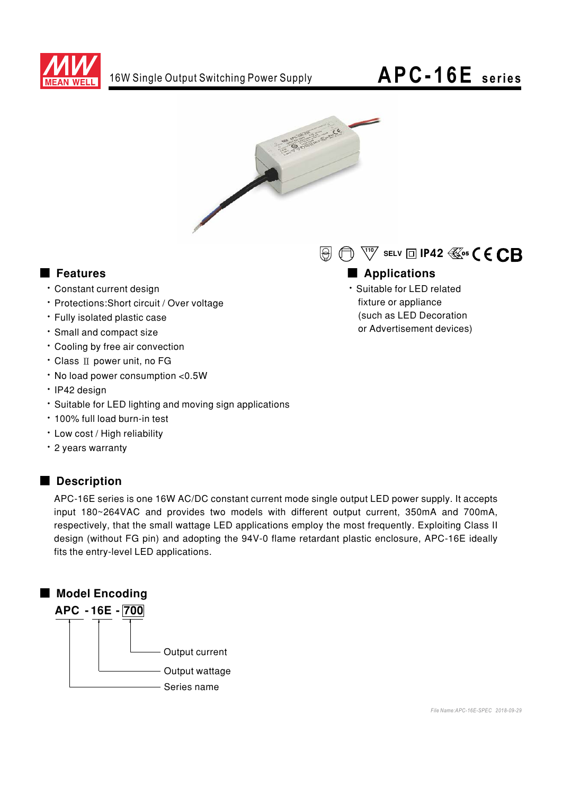

# APC-16E series



### Features

- · Constant current design
- · Protections: Short circuit / Over voltage
- · Fully isolated plastic case
- · Small and compact size
- Cooling by free air convection
- Class II power unit, no FG
- . No load power consumption <0.5W
- · IP42 design
- · Suitable for LED lighting and moving sign applications
- · 100% full load burn-in test
- · Low cost / High reliability
- · 2 years warranty

#### Description

APC-16E series is one 16W AC/DC constant current mode single output LED power supply. It accepts input 180~264VAC and provides two models with different output current, 350mA and 700mA, respectively, that the small wattage LED applications employ the most frequently. Exploiting Class II design (without FG pin) and adopting the 94V-0 flame retardant plastic enclosure, APC-16E ideally fits the entry-level LED applications.



 $\Theta$   $\Theta$   $\overline{C}$   $\overline{C}$  selv  $\Box$  IP42  $\overline{\mathbb{C}}$ os  $\overline{C}$   $\overline{C}$   $\overline{C}$   $\overline{C}$ 

### Applications

· Suitable for LED related fixture or appliance (such as LED Decoration or Advertisement devices)

File Name: APC-16E-SPEC 2018-09-29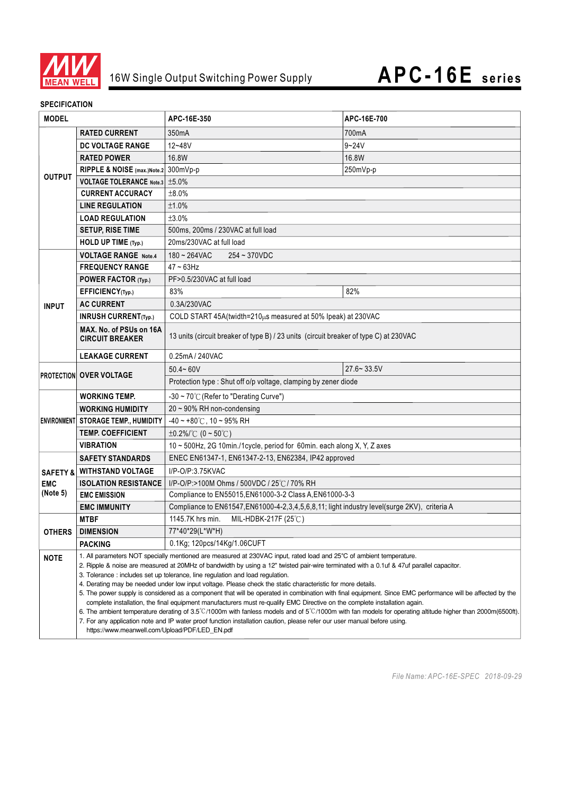

#### **SPECIFICATION**

| <b>MODEL</b>                              |                                                                                                                                                                                                                                                                                                                                                                                                                                                                                                                                                                                                                                                                                                                                                                                                  | APC-16E-350                                                                                                                                                   | APC-16E-700    |  |
|-------------------------------------------|--------------------------------------------------------------------------------------------------------------------------------------------------------------------------------------------------------------------------------------------------------------------------------------------------------------------------------------------------------------------------------------------------------------------------------------------------------------------------------------------------------------------------------------------------------------------------------------------------------------------------------------------------------------------------------------------------------------------------------------------------------------------------------------------------|---------------------------------------------------------------------------------------------------------------------------------------------------------------|----------------|--|
| <b>OUTPUT</b>                             | <b>RATED CURRENT</b>                                                                                                                                                                                                                                                                                                                                                                                                                                                                                                                                                                                                                                                                                                                                                                             | 350mA                                                                                                                                                         | 700mA          |  |
|                                           | DC VOLTAGE RANGE                                                                                                                                                                                                                                                                                                                                                                                                                                                                                                                                                                                                                                                                                                                                                                                 | 12~48V                                                                                                                                                        | $9 - 24V$      |  |
|                                           | <b>RATED POWER</b>                                                                                                                                                                                                                                                                                                                                                                                                                                                                                                                                                                                                                                                                                                                                                                               | 16.8W                                                                                                                                                         | 16.8W          |  |
|                                           | RIPPLE & NOISE (max.)Note.2                                                                                                                                                                                                                                                                                                                                                                                                                                                                                                                                                                                                                                                                                                                                                                      | 300mVp-p                                                                                                                                                      | 250mVp-p       |  |
|                                           | VOLTAGE TOLERANCE Note.3 ±5.0%                                                                                                                                                                                                                                                                                                                                                                                                                                                                                                                                                                                                                                                                                                                                                                   |                                                                                                                                                               |                |  |
|                                           | <b>CURRENT ACCURACY</b>                                                                                                                                                                                                                                                                                                                                                                                                                                                                                                                                                                                                                                                                                                                                                                          | ±8.0%                                                                                                                                                         |                |  |
|                                           | <b>LINE REGULATION</b>                                                                                                                                                                                                                                                                                                                                                                                                                                                                                                                                                                                                                                                                                                                                                                           | ±1.0%                                                                                                                                                         |                |  |
|                                           | <b>LOAD REGULATION</b>                                                                                                                                                                                                                                                                                                                                                                                                                                                                                                                                                                                                                                                                                                                                                                           | ±3.0%                                                                                                                                                         |                |  |
|                                           | <b>SETUP, RISE TIME</b>                                                                                                                                                                                                                                                                                                                                                                                                                                                                                                                                                                                                                                                                                                                                                                          | 500ms, 200ms / 230VAC at full load                                                                                                                            |                |  |
|                                           | HOLD UP TIME (Typ.)                                                                                                                                                                                                                                                                                                                                                                                                                                                                                                                                                                                                                                                                                                                                                                              | 20ms/230VAC at full load                                                                                                                                      |                |  |
| <b>VOLTAGE RANGE Note.4</b>               |                                                                                                                                                                                                                                                                                                                                                                                                                                                                                                                                                                                                                                                                                                                                                                                                  | $180 - 264$ VAC<br>254~370VDC                                                                                                                                 |                |  |
| <b>INPUT</b>                              | <b>FREQUENCY RANGE</b>                                                                                                                                                                                                                                                                                                                                                                                                                                                                                                                                                                                                                                                                                                                                                                           | $47 - 63$ Hz                                                                                                                                                  |                |  |
|                                           | POWER FACTOR (Typ.)                                                                                                                                                                                                                                                                                                                                                                                                                                                                                                                                                                                                                                                                                                                                                                              | PF>0.5/230VAC at full load                                                                                                                                    |                |  |
|                                           | EFFICIENCY(Typ.)                                                                                                                                                                                                                                                                                                                                                                                                                                                                                                                                                                                                                                                                                                                                                                                 | 83%                                                                                                                                                           | 82%            |  |
|                                           | <b>AC CURRENT</b>                                                                                                                                                                                                                                                                                                                                                                                                                                                                                                                                                                                                                                                                                                                                                                                | 0.3A/230VAC                                                                                                                                                   |                |  |
|                                           | <b>INRUSH CURRENT(Typ.)</b>                                                                                                                                                                                                                                                                                                                                                                                                                                                                                                                                                                                                                                                                                                                                                                      | COLD START 45A(twidth=210µs measured at 50% Ipeak) at 230VAC                                                                                                  |                |  |
|                                           | MAX. No. of PSUs on 16A<br><b>CIRCUIT BREAKER</b>                                                                                                                                                                                                                                                                                                                                                                                                                                                                                                                                                                                                                                                                                                                                                | 13 units (circuit breaker of type B) / 23 units (circuit breaker of type C) at 230VAC                                                                         |                |  |
| <b>LEAKAGE CURRENT</b><br>0.25mA / 240VAC |                                                                                                                                                                                                                                                                                                                                                                                                                                                                                                                                                                                                                                                                                                                                                                                                  |                                                                                                                                                               |                |  |
|                                           |                                                                                                                                                                                                                                                                                                                                                                                                                                                                                                                                                                                                                                                                                                                                                                                                  | $50.4 - 60V$                                                                                                                                                  | $27.6 - 33.5V$ |  |
|                                           | <b>PROTECTION OVER VOLTAGE</b>                                                                                                                                                                                                                                                                                                                                                                                                                                                                                                                                                                                                                                                                                                                                                                   | Protection type: Shut off o/p voltage, clamping by zener diode                                                                                                |                |  |
|                                           | <b>WORKING TEMP.</b>                                                                                                                                                                                                                                                                                                                                                                                                                                                                                                                                                                                                                                                                                                                                                                             | -30 ~ $70^{\circ}$ C (Refer to "Derating Curve")                                                                                                              |                |  |
|                                           | <b>WORKING HUMIDITY</b>                                                                                                                                                                                                                                                                                                                                                                                                                                                                                                                                                                                                                                                                                                                                                                          | $20 \sim 90\%$ RH non-condensing                                                                                                                              |                |  |
|                                           | <b>ENVIRONMENT STORAGE TEMP., HUMIDITY</b>                                                                                                                                                                                                                                                                                                                                                                                                                                                                                                                                                                                                                                                                                                                                                       | $-40 \sim +80^{\circ}$ C, 10 ~ 95% RH                                                                                                                         |                |  |
|                                           | <b>TEMP. COEFFICIENT</b>                                                                                                                                                                                                                                                                                                                                                                                                                                                                                                                                                                                                                                                                                                                                                                         | ±0.2%/°C (0 ~ 50°C)                                                                                                                                           |                |  |
|                                           | <b>VIBRATION</b>                                                                                                                                                                                                                                                                                                                                                                                                                                                                                                                                                                                                                                                                                                                                                                                 | 10 ~ 500Hz, 2G 10min./1cycle, period for 60min. each along X, Y, Z axes                                                                                       |                |  |
|                                           | ENEC EN61347-1, EN61347-2-13, EN62384, IP42 approved<br><b>SAFETY STANDARDS</b>                                                                                                                                                                                                                                                                                                                                                                                                                                                                                                                                                                                                                                                                                                                  |                                                                                                                                                               |                |  |
| SAFETY &                                  | <b>WITHSTAND VOLTAGE</b>                                                                                                                                                                                                                                                                                                                                                                                                                                                                                                                                                                                                                                                                                                                                                                         | $I/P$ -O/P:3.75KVAC                                                                                                                                           |                |  |
| <b>EMC</b>                                | <b>ISOLATION RESISTANCE</b>                                                                                                                                                                                                                                                                                                                                                                                                                                                                                                                                                                                                                                                                                                                                                                      | I/P-O/P:>100M Ohms / 500VDC / 25°C / 70% RH                                                                                                                   |                |  |
| (Note 5)                                  | <b>EMC EMISSION</b>                                                                                                                                                                                                                                                                                                                                                                                                                                                                                                                                                                                                                                                                                                                                                                              | Compliance to EN55015, EN61000-3-2 Class A, EN61000-3-3<br>Compliance to EN61547, EN61000-4-2, 3, 4, 5, 6, 8, 11; light industry level(surge 2KV), criteria A |                |  |
|                                           | <b>EMC IMMUNITY</b>                                                                                                                                                                                                                                                                                                                                                                                                                                                                                                                                                                                                                                                                                                                                                                              |                                                                                                                                                               |                |  |
|                                           | MIL-HDBK-217F (25℃)<br>1145.7K hrs min.<br><b>MTBF</b>                                                                                                                                                                                                                                                                                                                                                                                                                                                                                                                                                                                                                                                                                                                                           |                                                                                                                                                               |                |  |
| OTHERS                                    | <b>DIMENSION</b>                                                                                                                                                                                                                                                                                                                                                                                                                                                                                                                                                                                                                                                                                                                                                                                 | 77*40*29(L*W*H)                                                                                                                                               |                |  |
|                                           | <b>PACKING</b>                                                                                                                                                                                                                                                                                                                                                                                                                                                                                                                                                                                                                                                                                                                                                                                   | 0.1Kg; 120pcs/14Kg/1.06CUFT                                                                                                                                   |                |  |
| <b>NOTE</b>                               |                                                                                                                                                                                                                                                                                                                                                                                                                                                                                                                                                                                                                                                                                                                                                                                                  | 1. All parameters NOT specially mentioned are measured at 230VAC input, rated load and 25°C of ambient temperature.                                           |                |  |
|                                           | 2. Ripple & noise are measured at 20MHz of bandwidth by using a 12" twisted pair-wire terminated with a 0.1uf & 47uf parallel capacitor.<br>3. Tolerance: includes set up tolerance, line regulation and load regulation.<br>4. Derating may be needed under low input voltage. Please check the static characteristic for more details.<br>5. The power supply is considered as a component that will be operated in combination with final equipment. Since EMC performance will be affected by the<br>complete installation, the final equipment manufacturers must re-qualify EMC Directive on the complete installation again.<br>6. The ambient temperature derating of 3.5°C/1000m with fanless models and of 5°C/1000m with fan models for operating altitude higher than 2000m(6500ft). |                                                                                                                                                               |                |  |
|                                           | https://www.meanwell.com/Upload/PDF/LED_EN.pdf                                                                                                                                                                                                                                                                                                                                                                                                                                                                                                                                                                                                                                                                                                                                                   | 7. For any application note and IP water proof function installation caution, please refer our user manual before using.                                      |                |  |